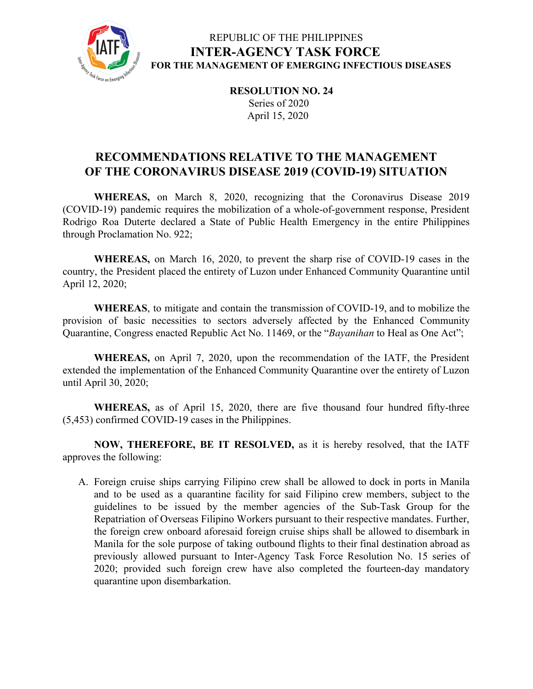

#### REPUBLIC OF THE PHILIPPINES **INTER-AGENCY TASK FORCE FOR THE MANAGEMENT OF EMERGING INFECTIOUS DISEASES**

**RESOLUTION NO. 24** Series of 2020 April 15, 2020

#### **RECOMMENDATIONS RELATIVE TO THE MANAGEMENT OF THE CORONAVIRUS DISEASE 2019 (COVID-19) SITUATION**

**WHEREAS,** on March 8, 2020, recognizing that the Coronavirus Disease 2019 (COVID-19) pandemic requires the mobilization of a whole-of-government response, President Rodrigo Roa Duterte declared a State of Public Health Emergency in the entire Philippines through Proclamation No. 922;

**WHEREAS,** on March 16, 2020, to prevent the sharp rise of COVID-19 cases in the country, the President placed the entirety of Luzon under Enhanced Community Quarantine until April 12, 2020;

**WHEREAS**, to mitigate and contain the transmission of COVID-19, and to mobilize the provision of basic necessities to sectors adversely affected by the Enhanced Community Quarantine, Congress enacted Republic Act No. 11469, or the "*Bayanihan* to Heal as One Act";

**WHEREAS,** on April 7, 2020, upon the recommendation of the IATF, the President extended the implementation of the Enhanced Community Quarantine over the entirety of Luzon until April 30, 2020;

**WHEREAS,** as of April 15, 2020, there are five thousand four hundred fifty-three (5,453) confirmed COVID-19 cases in the Philippines.

**NOW, THEREFORE, BE IT RESOLVED,** as it is hereby resolved, that the IATF approves the following:

A. Foreign cruise ships carrying Filipino crew shall be allowed to dock in ports in Manila and to be used as a quarantine facility for said Filipino crew members, subject to the guidelines to be issued by the member agencies of the Sub-Task Group for the Repatriation of Overseas Filipino Workers pursuant to their respective mandates. Further, the foreign crew onboard aforesaid foreign cruise ships shall be allowed to disembark in Manila for the sole purpose of taking outbound flights to their final destination abroad as previously allowed pursuant to Inter-Agency Task Force Resolution No. 15 series of 2020; provided such foreign crew have also completed the fourteen-day mandatory quarantine upon disembarkation.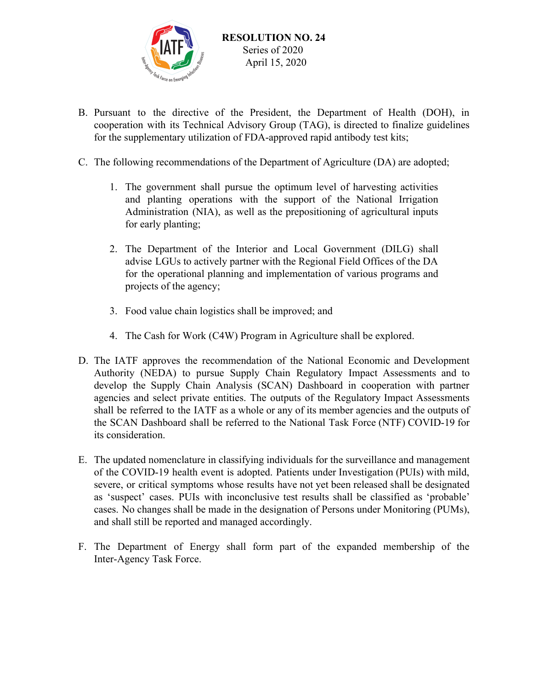

- B. Pursuant to the directive of the President, the Department of Health (DOH), in cooperation with its Technical Advisory Group (TAG), is directed to finalize guidelines for the supplementary utilization of FDA-approved rapid antibody test kits;
- C. The following recommendations of the Department of Agriculture (DA) are adopted;
	- 1. The government shall pursue the optimum level of harvesting activities and planting operations with the support of the National Irrigation Administration (NIA), as well as the prepositioning of agricultural inputs for early planting;
	- 2. The Department of the Interior and Local Government (DILG) shall advise LGUs to actively partner with the Regional Field Offices of the DA for the operational planning and implementation of various programs and projects of the agency;
	- 3. Food value chain logistics shall be improved; and
	- 4. The Cash for Work (C4W) Program in Agriculture shall be explored.
- D. The IATF approves the recommendation of the National Economic and Development Authority (NEDA) to pursue Supply Chain Regulatory Impact Assessments and to develop the Supply Chain Analysis (SCAN) Dashboard in cooperation with partner agencies and select private entities. The outputs of the Regulatory Impact Assessments shall be referred to the IATF as a whole or any of its member agencies and the outputs of the SCAN Dashboard shall be referred to the National Task Force (NTF) COVID-19 for its consideration.
- E. The updated nomenclature in classifying individuals for the surveillance and management of the COVID-19 health event is adopted. Patients under Investigation (PUIs) with mild, severe, or critical symptoms whose results have not yet been released shall be designated as 'suspect' cases. PUIs with inconclusive test results shall be classified as 'probable' cases. No changes shall be made in the designation of Persons under Monitoring (PUMs), and shall still be reported and managed accordingly.
- F. The Department of Energy shall form part of the expanded membership of the Inter-Agency Task Force.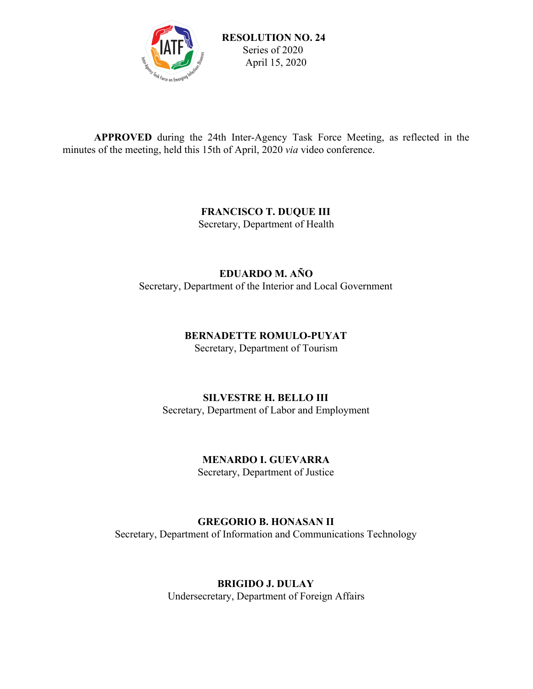

**APPROVED** during the 24th Inter-Agency Task Force Meeting, as reflected in the minutes of the meeting, held this 15th of April, 2020 *via* video conference.

> **FRANCISCO T. DUQUE III** Secretary, Department of Health

**EDUARDO M. AÑO** Secretary, Department of the Interior and Local Government

#### **BERNADETTE ROMULO-PUYAT**

Secretary, Department of Tourism

#### **SILVESTRE H. BELLO III**

Secretary, Department of Labor and Employment

#### **MENARDO I. GUEVARRA**

Secretary, Department of Justice

#### **GREGORIO B. HONASAN II**

Secretary, Department of Information and Communications Technology

# **BRIGIDO J. DULAY**

Undersecretary, Department of Foreign Affairs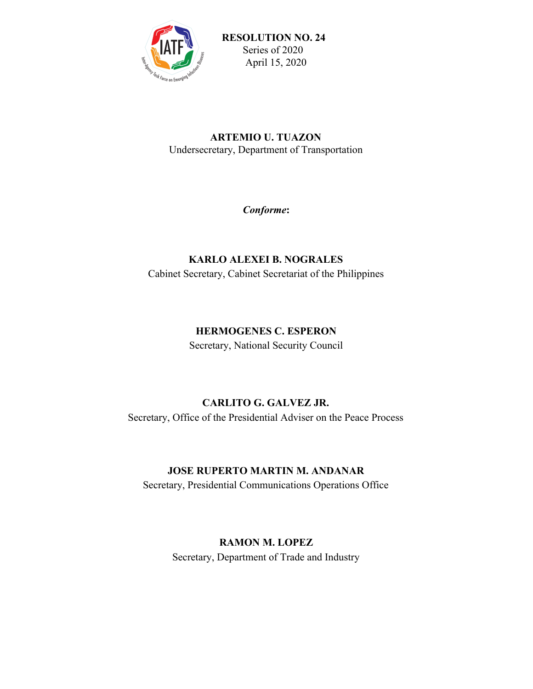

#### **ARTEMIO U. TUAZON** Undersecretary, Department of Transportation

*Conforme***:**

# **KARLO ALEXEI B. NOGRALES**

Cabinet Secretary, Cabinet Secretariat of the Philippines

#### **HERMOGENES C. ESPERON**

Secretary, National Security Council

# **CARLITO G. GALVEZ JR.**

Secretary, Office of the Presidential Adviser on the Peace Process

# **JOSE RUPERTO MARTIN M. ANDANAR**

Secretary, Presidential Communications Operations Office

# **RAMON M. LOPEZ**

Secretary, Department of Trade and Industry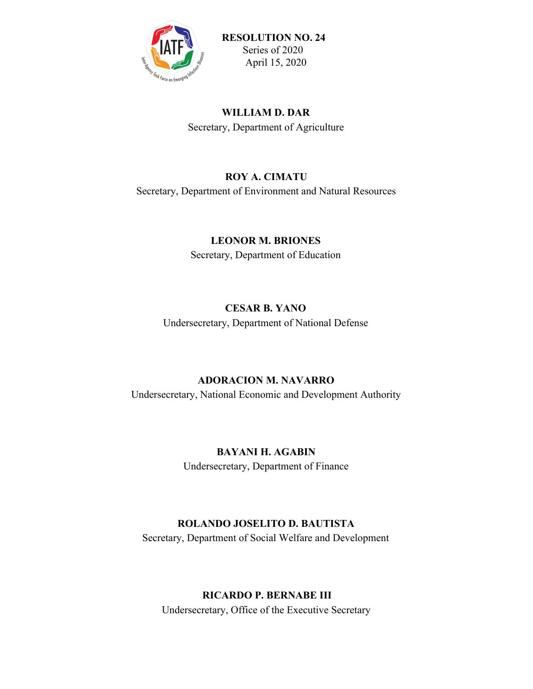

 **RESOLUTION NO. 24** Series of 2020 April 15, 2020

# **WILLIAM D. DAR**

Secretary, Department of Agriculture

#### **ROY A. CIMATU**

Secretary, Department of Environment and Natural Resources

#### **LEONOR M. BRIONES**

Secretary, Department of Education

# **CESAR B. YANO**

Undersecretary, Department of National Defense

# **ADORACION M. NAVARRO**

Undersecretary, National Economic and Development Authority

# **BAYANI H. AGABIN**

Undersecretary, Department of Finance

# **ROLANDO JOSELITO D. BAUTISTA**

Secretary, Department of Social Welfare and Development

# **RICARDO P. BERNABE III**

Undersecretary, Office of the Executive Secretary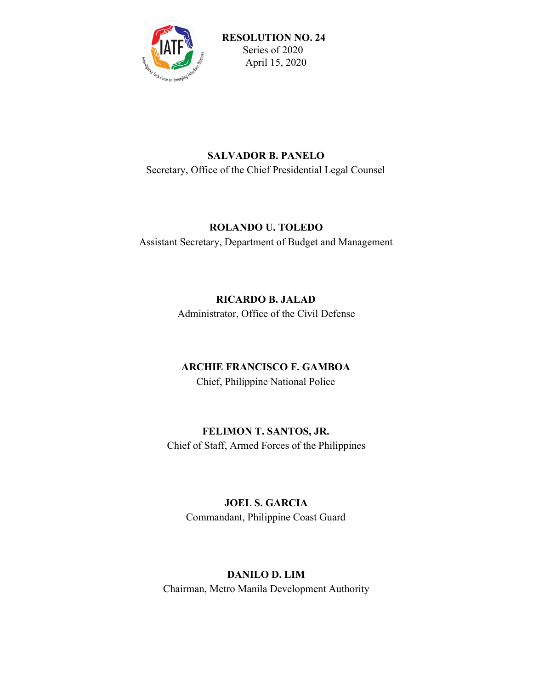

 **RESOLUTION NO. 24** Series of 2020 April 15, 2020

# **SALVADOR B. PANELO** Secretary, Office of the Chief Presidential Legal Counsel

#### **ROLANDO U. TOLEDO**

Assistant Secretary, Department of Budget and Management

# **RICARDO B. JALAD**

Administrator, Office of the Civil Defense

# **ARCHIE FRANCISCO F. GAMBOA**

Chief, Philippine National Police

# **FELIMON T. SANTOS, JR.**

Chief of Staff, Armed Forces of the Philippines

# **JOEL S. GARCIA** Commandant, Philippine Coast Guard

# **DANILO D. LIM**

Chairman, Metro Manila Development Authority